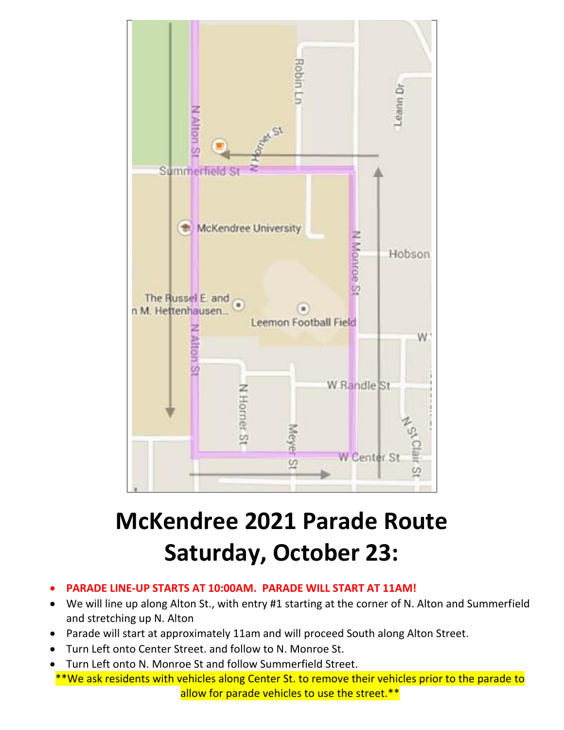

## **McKendree 2021 Parade Route Saturday, October 23:**

- **PARADE LINE-UP STARTS AT 10:00AM. PARADE WILL START AT 11AM!**
- We will line up along Alton St., with entry #1 starting at the corner of N. Alton and Summerfield and stretching up N. Alton
- Parade will start at approximately 11am and will proceed South along Alton Street.
- Turn Left onto Center Street. and follow to N. Monroe St.
- Turn Left onto N. Monroe St and follow Summerfield Street.
- \*\*We ask residents with vehicles along Center St. to remove their vehicles prior to the parade to allow for parade vehicles to use the street.\*\*